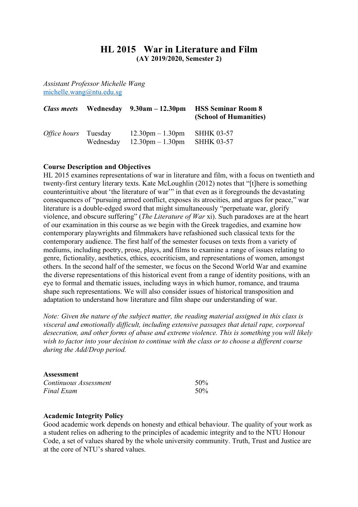# **HL 2015 War in Literature and Film (AY 2019/2020, Semester 2)**

*Assistant Professor Michelle Wang* michelle.wang@ntu.edu.sg

| <b>Class meets</b>          |           | Wednesday $9.30am - 12.30pm$                                             | <b>HSS Seminar Room 8</b><br>(School of Humanities) |
|-----------------------------|-----------|--------------------------------------------------------------------------|-----------------------------------------------------|
| <i>Office hours</i> Tuesday | Wednesday | $12.30 \text{pm} - 1.30 \text{pm}$<br>$12.30 \text{pm} - 1.30 \text{pm}$ | <b>SHHK 03-57</b><br><b>SHHK 03-57</b>              |

# **Course Description and Objectives**

HL 2015 examines representations of war in literature and film, with a focus on twentieth and twenty-first century literary texts. Kate McLoughlin (2012) notes that "[t]here is something counterintuitive about 'the literature of war'" in that even as it foregrounds the devastating consequences of "pursuing armed conflict, exposes its atrocities, and argues for peace," war literature is a double-edged sword that might simultaneously "perpetuate war, glorify violence, and obscure suffering" (*The Literature of War* xi). Such paradoxes are at the heart of our examination in this course as we begin with the Greek tragedies, and examine how contemporary playwrights and filmmakers have refashioned such classical texts for the contemporary audience. The first half of the semester focuses on texts from a variety of mediums, including poetry, prose, plays, and films to examine a range of issues relating to genre, fictionality, aesthetics, ethics, ecocriticism, and representations of women, amongst others. In the second half of the semester, we focus on the Second World War and examine the diverse representations of this historical event from a range of identity positions, with an eye to formal and thematic issues, including ways in which humor, romance, and trauma shape such representations. We will also consider issues of historical transposition and adaptation to understand how literature and film shape our understanding of war.

*Note: Given the nature of the subject matter, the reading material assigned in this class is visceral and emotionally difficult, including extensive passages that detail rape, corporeal desecration, and other forms of abuse and extreme violence. This is something you will likely wish to factor into your decision to continue with the class or to choose a different course during the Add/Drop period.* 

# **Assessment**

| Continuous Assessment | 50% |
|-----------------------|-----|
| Final Exam            | 50% |

## **Academic Integrity Policy**

Good academic work depends on honesty and ethical behaviour. The quality of your work as a student relies on adhering to the principles of academic integrity and to the NTU Honour Code, a set of values shared by the whole university community. Truth, Trust and Justice are at the core of NTU's shared values.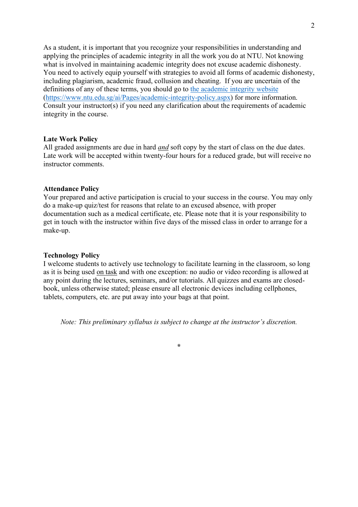As a student, it is important that you recognize your responsibilities in understanding and applying the principles of academic integrity in all the work you do at NTU. Not knowing what is involved in maintaining academic integrity does not excuse academic dishonesty. You need to actively equip yourself with strategies to avoid all forms of academic dishonesty, including plagiarism, academic fraud, collusion and cheating. If you are uncertain of the definitions of any of these terms, you should go to the academic integrity website (https://www.ntu.edu.sg/ai/Pages/academic-integrity-policy.aspx) for more information. Consult your instructor(s) if you need any clarification about the requirements of academic integrity in the course.

## **Late Work Policy**

All graded assignments are due in hard *and* soft copy by the start of class on the due dates. Late work will be accepted within twenty-four hours for a reduced grade, but will receive no instructor comments.

#### **Attendance Policy**

Your prepared and active participation is crucial to your success in the course. You may only do a make-up quiz/test for reasons that relate to an excused absence, with proper documentation such as a medical certificate, etc. Please note that it is your responsibility to get in touch with the instructor within five days of the missed class in order to arrange for a make-up.

#### **Technology Policy**

I welcome students to actively use technology to facilitate learning in the classroom, so long as it is being used on task and with one exception: no audio or video recording is allowed at any point during the lectures, seminars, and/or tutorials. All quizzes and exams are closedbook, unless otherwise stated; please ensure all electronic devices including cellphones, tablets, computers, etc. are put away into your bags at that point.

*Note: This preliminary syllabus is subject to change at the instructor's discretion.*

**\***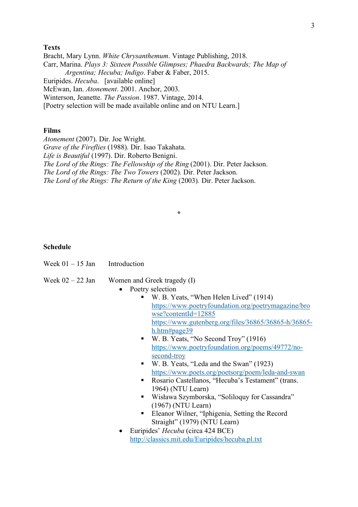# **Texts**

Bracht, Mary Lynn. *White Chrysanthemum*. Vintage Publishing, 2018. Carr, Marina. *Plays 3: Sixteen Possible Glimpses; Phaedra Backwards; The Map of Argentina; Hecuba; Indigo*. Faber & Faber, 2015. Euripides. *Hecuba*. [available online] McEwan, Ian. *Atonement*. 2001. Anchor, 2003. Winterson, Jeanette. *The Passion*. 1987. Vintage, 2014. [Poetry selection will be made available online and on NTU Learn.]

#### **Films**

*Atonement* (2007). Dir. Joe Wright. *Grave of the Fireflies* (1988). Dir. Isao Takahata. *Life is Beautiful* (1997). Dir. Roberto Benigni. *The Lord of the Rings: The Fellowship of the Ring* (2001). Dir. Peter Jackson. *The Lord of the Rings: The Two Towers* (2002)*.* Dir. Peter Jackson. *The Lord of the Rings: The Return of the King (2003). Dir. Peter Jackson.* 

**\***

# **Schedule**

| Week $01 - 15$ Jan | Introduction |
|--------------------|--------------|
|                    |              |

# Week  $02 - 22$  Jan Women and Greek tragedy (I)

- Poetry selection
	- W. B. Yeats, "When Helen Lived" (1914) https://www.poetryfoundation.org/poetrymagazine/bro wse?contentId=12885 https://www.gutenberg.org/files/36865/36865-h/36865 h.htm#page39
	- W. B. Yeats, "No Second Troy" (1916) https://www.poetryfoundation.org/poems/49772/nosecond-troy
	- W. B. Yeats, "Leda and the Swan" (1923) https://www.poets.org/poetsorg/poem/leda-and-swan
	- Rosario Castellanos, "Hecuba's Testament" (trans. 1964) (NTU Learn)
	- Wisława Szymborska, "Soliloquy for Cassandra" (1967) (NTU Learn)
	- Eleanor Wilner, "Iphigenia, Setting the Record Straight" (1979) (NTU Learn)
- Euripides' *Hecuba* (circa 424 BCE) http://classics.mit.edu/Euripides/hecuba.pl.txt